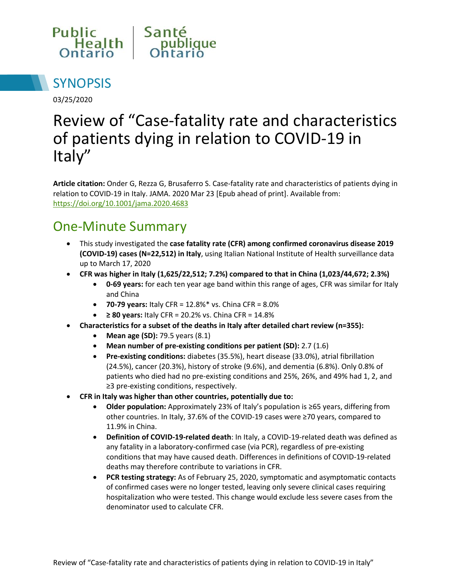



03/25/2020

# Review of "Case-fatality rate and characteristics of patients dying in relation to COVID-19 in Italy"

**Article citation:** Onder G, Rezza G, Brusaferro S. Case-fatality rate and characteristics of patients dying in relation to COVID-19 in Italy. JAMA. 2020 Mar 23 [Epub ahead of print]. Available from: <https://doi.org/10.1001/jama.2020.4683>

#### One-Minute Summary

- This study investigated the **case fatality rate (CFR) among confirmed coronavirus disease 2019 (COVID-19) cases (N=22,512) in Italy**, using Italian National Institute of Health surveillance data up to March 17, 2020
- **CFR was higher in Italy (1,625/22,512; 7.2%) compared to that in China (1,023/44,672; 2.3%)**
	- **0-69 years:** for each ten year age band within this range of ages, CFR was similar for Italy and China
	- **70-79 years:** Italy CFR = 12.8%\* vs. China CFR = 8.0%
	- **≥ 80 years:** Italy CFR = 20.2% vs. China CFR = 14.8%
- **Characteristics for a subset of the deaths in Italy after detailed chart review (n=355):**
	- **Mean age (SD):** 79.5 years (8.1)
	- **Mean number of pre-existing conditions per patient (SD):** 2.7 (1.6)
	- **Pre-existing conditions:** diabetes (35.5%), heart disease (33.0%), atrial fibrillation (24.5%), cancer (20.3%), history of stroke (9.6%), and dementia (6.8%). Only 0.8% of patients who died had no pre-existing conditions and 25%, 26%, and 49% had 1, 2, and ≥3 pre-existing conditions, respectively.
- **CFR in Italy was higher than other countries, potentially due to:**
	- **Older population:** Approximately 23% of Italy's population is ≥65 years, differing from other countries. In Italy, 37.6% of the COVID-19 cases were ≥70 years, compared to 11.9% in China.
	- **Definition of COVID-19-related death**: In Italy, a COVID-19-related death was defined as any fatality in a laboratory-confirmed case (via PCR), regardless of pre-existing conditions that may have caused death. Differences in definitions of COVID-19-related deaths may therefore contribute to variations in CFR.
	- **PCR testing strategy:** As of February 25, 2020, symptomatic and asymptomatic contacts of confirmed cases were no longer tested, leaving only severe clinical cases requiring hospitalization who were tested. This change would exclude less severe cases from the denominator used to calculate CFR.